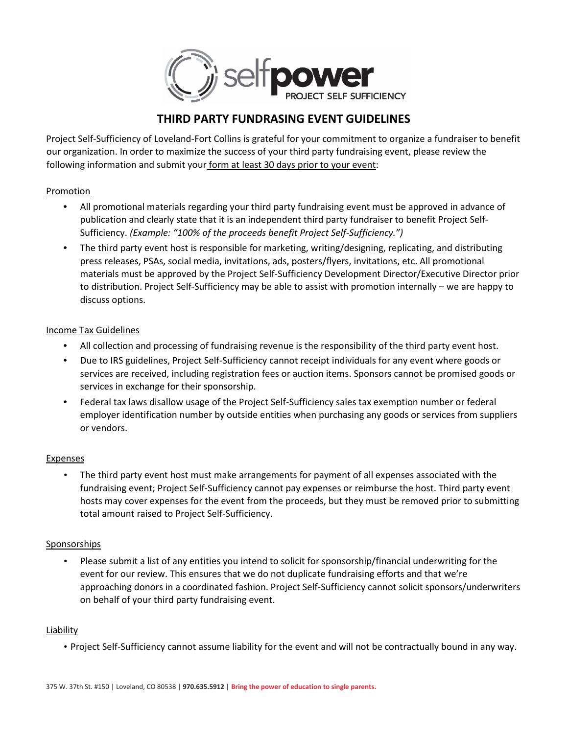

# **THIRD PARTY FUNDRASING EVENT GUIDELINES**

Project Self-Sufficiency of Loveland-Fort Collins is grateful for your commitment to organize a fundraiser to benefit our organization. In order to maximize the success of your third party fundraising event, please review the following information and submit your form at least 30 days prior to your event:

## Promotion

- All promotional materials regarding your third party fundraising event must be approved in advance of publication and clearly state that it is an independent third party fundraiser to benefit Project Self-Sufficiency. *(Example: "100% of the proceeds benefit Project Self-Sufficiency.")*
- The third party event host is responsible for marketing, writing/designing, replicating, and distributing press releases, PSAs, social media, invitations, ads, posters/flyers, invitations, etc. All promotional materials must be approved by the Project Self-Sufficiency Development Director/Executive Director prior to distribution. Project Self-Sufficiency may be able to assist with promotion internally – we are happy to discuss options.

## Income Tax Guidelines

- All collection and processing of fundraising revenue is the responsibility of the third party event host.
- Due to IRS guidelines, Project Self-Sufficiency cannot receipt individuals for any event where goods or services are received, including registration fees or auction items. Sponsors cannot be promised goods or services in exchange for their sponsorship.
- Federal tax laws disallow usage of the Project Self-Sufficiency sales tax exemption number or federal employer identification number by outside entities when purchasing any goods or services from suppliers or vendors.

## **Expenses**

• The third party event host must make arrangements for payment of all expenses associated with the fundraising event; Project Self-Sufficiency cannot pay expenses or reimburse the host. Third party event hosts may cover expenses for the event from the proceeds, but they must be removed prior to submitting total amount raised to Project Self-Sufficiency.

## Sponsorships

• Please submit a list of any entities you intend to solicit for sponsorship/financial underwriting for the event for our review. This ensures that we do not duplicate fundraising efforts and that we're approaching donors in a coordinated fashion. Project Self-Sufficiency cannot solicit sponsors/underwriters on behalf of your third party fundraising event.

## Liability

• Project Self-Sufficiency cannot assume liability for the event and will not be contractually bound in any way.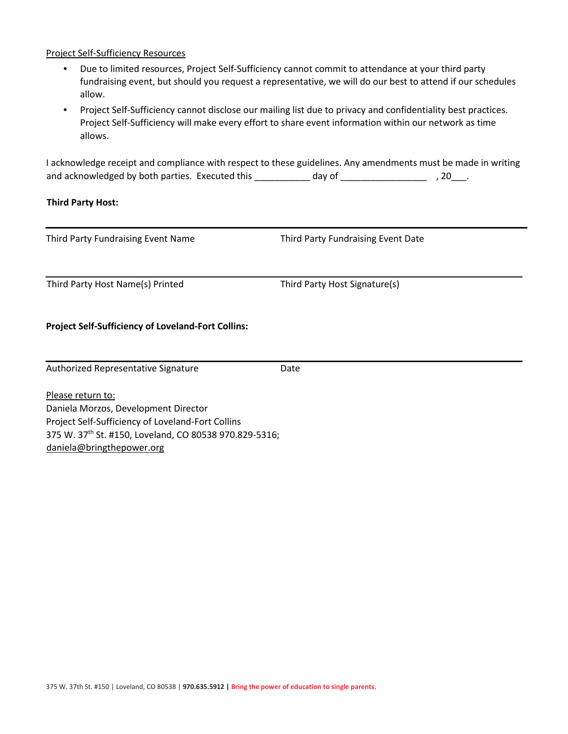### Project Self-Sufficiency Resources

- Due to limited resources, Project Self-Sufficiency cannot commit to attendance at your third party fundraising event, but should you request a representative, we will do our best to attend if our schedules allow.
- Project Self-Sufficiency cannot disclose our mailing list due to privacy and confidentiality best practices. Project Self-Sufficiency will make every effort to share event information within our network as time allows.

I acknowledge receipt and compliance with respect to these guidelines. Any amendments must be made in writing and acknowledged by both parties. Executed this \_\_\_\_\_\_\_\_\_\_ day of \_\_\_\_\_\_\_\_\_\_\_\_\_\_\_\_\_\_\_\_\_, 20\_\_\_.

#### **Third Party Host:**

Third Party Fundraising Event Name Third Party Fundraising Event Date

Third Party Host Name(s) Printed Third Party Host Signature(s)

### **Project Self-Sufficiency of Loveland-Fort Collins:**

Authorized Representative Signature **Date** 

Please return to: Daniela Morzos, Development Director Project Self-Sufficiency of Loveland-Fort Collins 375 W. 37th St. #150, Loveland, CO 80538 970.829-5316; daniela@bringthepower.org